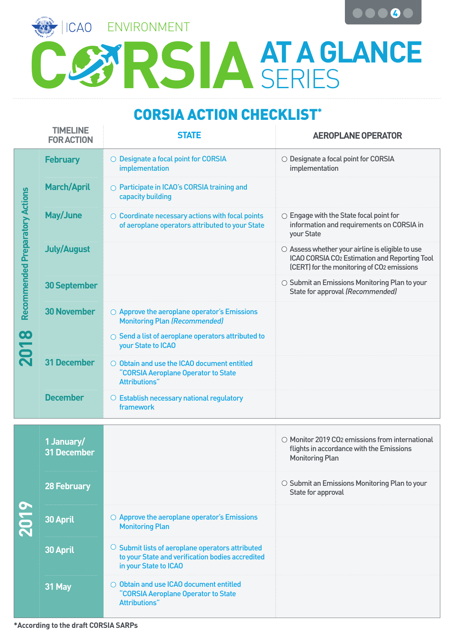

## **CORSIA ACTION CHECKLIST\***

|                                                     | <b>TIMELINE</b><br><b>FOR ACTION</b> | <b>STATE</b>                                                                                                                        | <b>AEROPLANE OPERATOR</b>                                                                                                                                         |
|-----------------------------------------------------|--------------------------------------|-------------------------------------------------------------------------------------------------------------------------------------|-------------------------------------------------------------------------------------------------------------------------------------------------------------------|
| <b>Recommended Preparatory Actions</b><br><b>CO</b> | <b>February</b>                      | O Designate a focal point for CORSIA<br>implementation                                                                              | O Designate a focal point for CORSIA<br>implementation                                                                                                            |
|                                                     | <b>March/April</b>                   | ○ Participate in ICAO's CORSIA training and<br>capacity building                                                                    |                                                                                                                                                                   |
|                                                     | <b>May/June</b>                      | $\circ$ Coordinate necessary actions with focal points<br>of aeroplane operators attributed to your State                           | $\circlearrowright$ Engage with the State focal point for<br>information and requirements on CORSIA in<br>your State                                              |
|                                                     | <b>July/August</b>                   |                                                                                                                                     | $\circ$ Assess whether your airline is eligible to use<br>ICAO CORSIA CO <sub>2</sub> Estimation and Reporting Tool<br>(CERT) for the monitoring of CO2 emissions |
|                                                     | <b>30 September</b>                  |                                                                                                                                     | $\circlearrowright$ Submit an Emissions Monitoring Plan to your<br>State for approval (Recommended)                                                               |
|                                                     | <b>30 November</b>                   | $\circlearrowright$ Approve the aeroplane operator's Emissions<br><b>Monitoring Plan (Recommended)</b>                              |                                                                                                                                                                   |
|                                                     |                                      | ○ Send a list of aeroplane operators attributed to<br>your State to ICAO                                                            |                                                                                                                                                                   |
|                                                     | <b>31 December</b>                   | O Obtain and use the ICAO document entitled<br>"CORSIA Aeroplane Operator to State<br>Attributions"                                 |                                                                                                                                                                   |
|                                                     | <b>December</b>                      | $\circ$ Establish necessary national regulatory<br>framework                                                                        |                                                                                                                                                                   |
|                                                     |                                      |                                                                                                                                     |                                                                                                                                                                   |
| 201                                                 | 1 January/<br><b>31 December</b>     |                                                                                                                                     | ○ Monitor 2019 CO2 emissions from international<br>flights in accordance with the Emissions<br><b>Monitoring Plan</b>                                             |
|                                                     | <b>28 February</b>                   |                                                                                                                                     | ○ Submit an Emissions Monitoring Plan to your<br>State for approval                                                                                               |
|                                                     | <b>30 April</b>                      | $\circ$ Approve the aeroplane operator's Emissions<br><b>Monitoring Plan</b>                                                        |                                                                                                                                                                   |
|                                                     | 30 April                             | $\circ$ Submit lists of aeroplane operators attributed<br>to your State and verification bodies accredited<br>in your State to ICAO |                                                                                                                                                                   |
|                                                     | 31 May                               | O Obtain and use ICAO document entitled<br>"CORSIA Aeroplane Operator to State<br><b>Attributions"</b>                              |                                                                                                                                                                   |
|                                                     |                                      |                                                                                                                                     |                                                                                                                                                                   |

**\*According to the draft CORSIA SARPs**